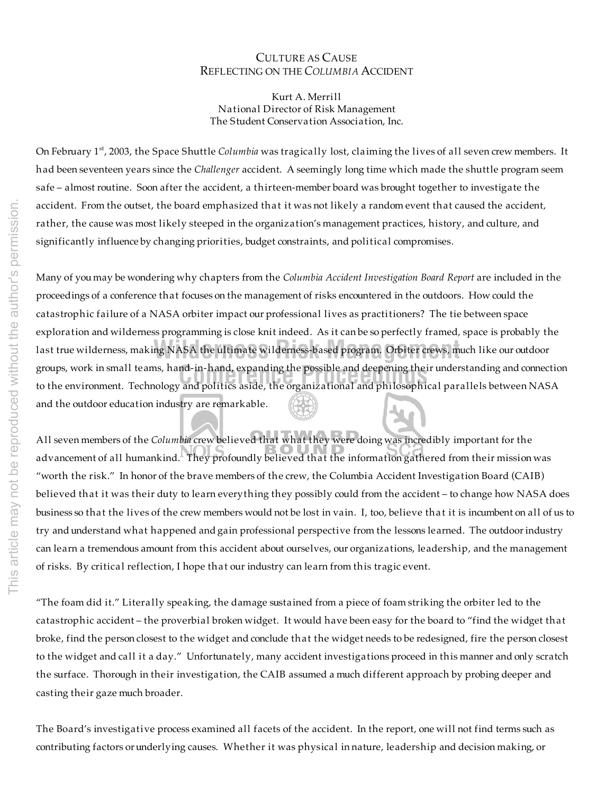## CULTURE AS CAUSE REFLECTING ON THE *COLUMBIA* ACCIDENT

Kurt A. Merrill National Director of Risk Management The Student Conservation Association, Inc.

On February 1<sup>st</sup>, 2003, the Space Shuttle *Columbia* was tragically lost, claiming the lives of all seven crew members. It had been seventeen years since the *Challenger* accident. A seemingly long time which made the shuttle program seem safe – almost routine. Soon after the accident, a thirteen-member board was brought together to investigate the accident. From the outset, the board emphasized that it was not likely a random event that caused the accident, rather, the cause was most likely steeped in the organization's management practices, history, and culture, and significantly influence by changing priorities, budget constraints, and political compromises.

groups, work in small teams, hand-in-hand, expanding the possible and deepening their understanding and connection<br>to the environment. Technology and politics aside, the organizational and philosophical parallels between N last true wilderness, making NASA the ultimate wilderness-based program. Orbiter crews, much like our outdoor Many of you may be wondering why chapters from the *Columbia Accident Investigation Board Report* are included in the proceedings of a conference that focuses on the management of risks encountered in the outdoors. How could the catastrophic failure of a NASA orbiter impact our professional lives as practitioners? The tie between space exploration and wilderness programming is close knit indeed. As it can be so perfectly framed, space is probably the to the environment. Technology and politics aside, the organizational and philosophical parallels between NASA and the outdoor education industry are remarkable.

All seven members of the *Columbia* crew believed that what they were doing was incredibly important for the advancement of all humankind. They profoundly believed that the information gathered from their mission was "worth the risk." In honor of the brave members of the crew, the Columbia Accident Investigation Board (CAIB) believed that it was their duty to learn everything they possibly could from the accident – to change how NASA does business so that the lives of the crew members would not be lost in vain. I, too, believe that it is incumbent on all of us to try and understand what happened and gain professional perspective from the lessons learned. The outdoorindustry can learn a tremendous amount from this accident about ourselves, our organizations, leadership, and the management of risks. By critical reflection, I hope that our industry can learn from this tragic event.

"The foam did it." Literally speaking, the damage sustained from a piece of foam striking the orbiter led to the catastrophic accident – the proverbial broken widget. It would have been easy for the board to "find the widget that broke, find the person closest to the widget and conclude that the widget needs to be redesigned, fire the person closest to the widget and call it a day." Unfortunately, many accident investigations proceed in this manner and only scratch the surface. Thorough in their investigation, the CAIB assumed a much different approach by probing deeper and casting their gaze much broader.

The Board's investigative process examined all facets of the accident. In the report, one will not find terms such as contributing factors or underlying causes. Whether it was physical in nature, leadership and decision making, or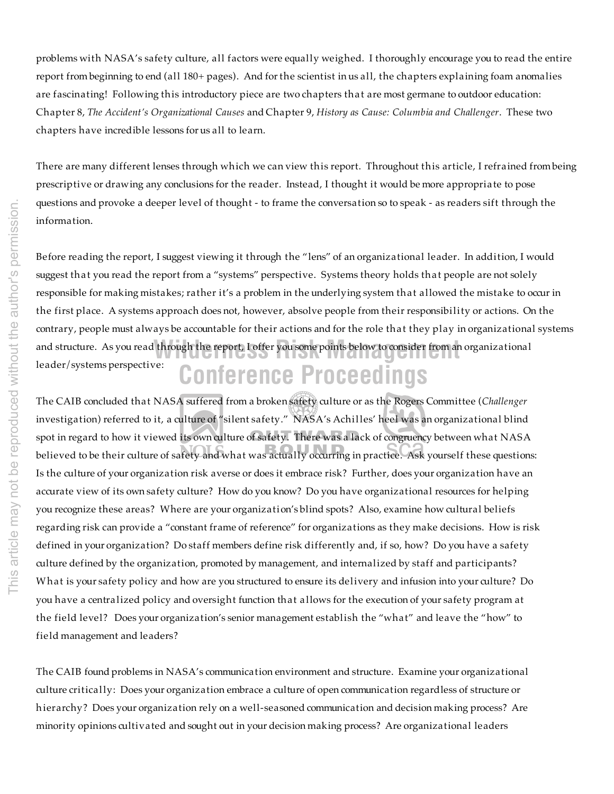problems with NASA's safety culture, all factors were equally weighed. I thoroughly encourage you to read the entire report from beginning to end (all 180+ pages). And for the scientist in us all, the chapters explaining foam anomalies are fascinating! Following this introductory piece are two chapters that are most germane to outdoor education: Chapter 8, *The Accident's Organizational Causes* and Chapter 9, *History as Cause: Columbia and Challenger*. These two chapters have incredible lessons for us all to learn.

There are many different lenses through which we can view this report. Throughout this article, I refrained from being prescriptive or drawing any conclusions for the reader. Instead, I thought it would be more appropriate to pose questions and provoke a deeper level of thought - to frame the conversation so to speak - as readers sift through the information.

**Conference Proceedings** and structure. As you read through the report, I offer you some points below to consider from an organizational Before reading the report, I suggest viewing it through the "lens" of an organizational leader. In addition, I would suggest that you read the report from a "systems" perspective. Systems theory holds that people are not solely responsible for making mistakes; rather it's a problem in the underlying system that allowed the mistake to occur in the first place. A systems approach does not, however, absolve people from their responsibility or actions. On the contrary, people must always be accountable for their actions and for the role that they play in organizational systems leader/systems perspective:

The CAIB concluded that NASA suffered from a broken safety culture or as the Rogers Committee (*Challenger* investigation) referred to it, a culture of "silent safety." NASA's Achilles' heel was an organizational blind spot in regard to how it viewed its own culture of safety. There was a lack of congruency between what NASA believed to be their culture of safety and what was actually occurring in practice. Ask yourself these questions: Is the culture of your organization risk averse or does it embrace risk? Further, does your organization have an accurate view of its own safety culture? How do you know? Do you have organizational resources for helping you recognize these areas? Where are your organization's blind spots? Also, examine how cultural beliefs regarding risk can provide a "constant frame of reference" for organizations as they make decisions. How is risk defined in your organization? Do staff members define risk differently and, if so, how? Do you have a safety culture defined by the organization, promoted by management, and internalized by staff and participants? What is your safety policy and how are you structured to ensure its delivery and infusion into your culture? Do you have a centralized policy and oversight function that allows for the execution of your safety program at the field level? Does your organization's senior management establish the "what" and leave the "how" to field management and leaders?

The CAIB found problems in NASA's communication environment and structure. Examine your organizational culture critically: Does your organization embrace a culture of open communication regardless of structure or h ierarchy? Does your organization rely on a well-seasoned communication and decision making process? Are minority opinions cultivated and sought out in your decision making process? Are organizational leaders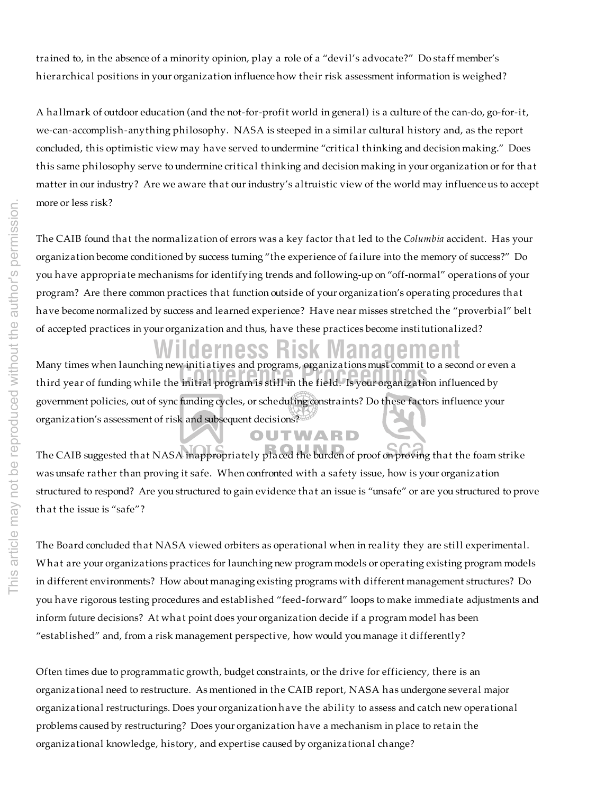trained to, in the absence of a minority opinion, play a role of a "devil's advocate?" Do staff member's h ierarchical positions in your organization influence how their risk assessment information is weighed?

A hallmark of outdoor education (and the not-for-profit world in general) is a culture of the can-do, go-for-it, we-can-accomplish-anything philosophy. NASA is steeped in a similar cultural history and, as the report concluded, this optimistic view may have served to undermine "critical thinking and decision making." Does this same philosophy serve to undermine critical thinking and decision making in your organization or for that matter in our industry? Are we aware that our industry's altruistic view of the world may influence us to accept more or less risk?

The CAIB found that the normalization of errors was a key factor that led to the *Columbia* accident. Has your organization become conditioned by success turning "the experience of failure into the memory of success?" Do you have appropriate mechanisms for identifying trends and following-up on "off-normal" operations of your program? Are there common practices that function outside of your organization's operating procedures that have become normalized by success and learned experience? Have near misses stretched the "proverbial" belt of accepted practices in your organization and thus, have these practices become institutionalized?

## **Wilderness Risk Management**

OUTWARD

**Conference Proceedings** third year of funding while the initial program is still in the field. Is your organization influenced by Many times when launching new initiatives and programs, organizations must commit to a second or even a government policies, out of sync funding cycles, or scheduling constraints? Do these factors influence your organization's assessment of risk and subsequent decisions?

The CAIB suggested that NASA inappropriately placed the burden of proof on proving that the foam strike was unsafe rather than proving it safe. When confronted with a safety issue, how is your organization structured to respond? Are you structured to gain evidence that an issue is "unsafe" or are you structured to prove that the issue is "safe"?

The Board concluded that NASA viewed orbiters as operational when in reality they are still experimental. What are your organizations practices for launching new program models or operating existing program models in different environments? How about managing existing programs with different management structures? Do you have rigorous testing procedures and established "feed-forward" loops to make immediate adjustments and inform future decisions? At what point does your organization decide if a program model has been "established" and, from a risk management perspective, how would you manage it differently?

Often times due to programmatic growth, budget constraints, or the drive for efficiency, there is an organizational need to restructure. As mentioned in the CAIB report, NASA has undergone several major organizational restructurings. Does your organization have the ability to assess and catch new operational problems caused by restructuring? Does your organization have a mechanism in place to retain the organizational knowledge, history, and expertise caused by organizational change?